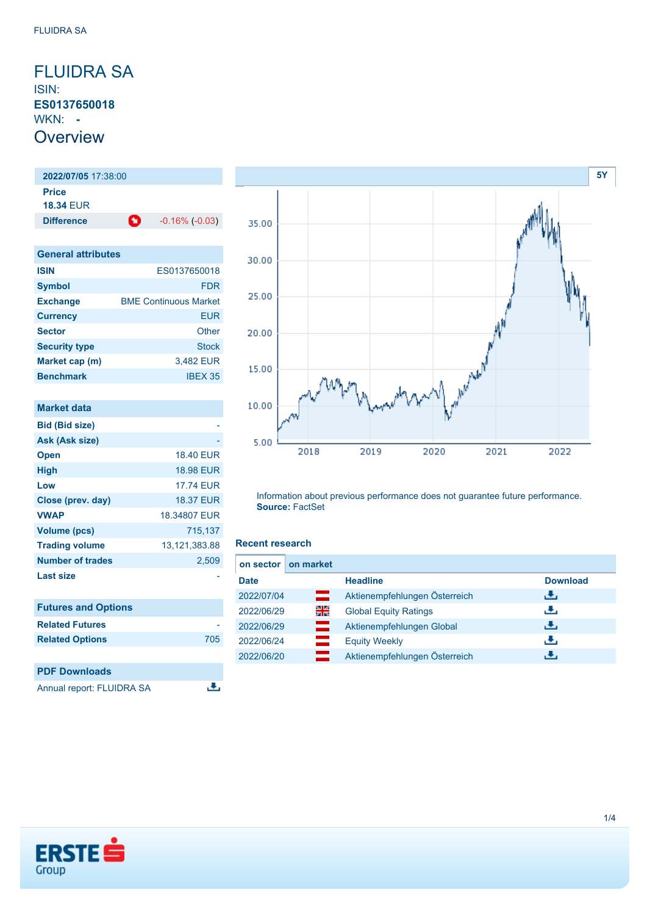<span id="page-0-0"></span>FLUIDRA SA ISIN: **ES0137650018** WKN: **- Overview** 

**2022/07/05** 17:38:00 **Price 18.34** EUR **Difference C** -0.16% (-0.03)

| <b>General attributes</b> |                              |  |
|---------------------------|------------------------------|--|
| <b>ISIN</b>               | ES0137650018                 |  |
| <b>Symbol</b>             | FDR                          |  |
| <b>Exchange</b>           | <b>BME Continuous Market</b> |  |
| <b>Currency</b>           | <b>EUR</b>                   |  |
| <b>Sector</b>             | Other                        |  |
| <b>Security type</b>      | <b>Stock</b>                 |  |
| Market cap (m)            | 3,482 EUR                    |  |
| <b>Benchmark</b>          | <b>IBEX 35</b>               |  |

| Market data                |                  |
|----------------------------|------------------|
| <b>Bid (Bid size)</b>      |                  |
| Ask (Ask size)             |                  |
| <b>Open</b>                | <b>18.40 EUR</b> |
| <b>High</b>                | <b>18.98 EUR</b> |
| Low                        | <b>17.74 EUR</b> |
| Close (prev. day)          | <b>18.37 EUR</b> |
| <b>VWAP</b>                | 18,34807 EUR     |
| <b>Volume (pcs)</b>        | 715,137          |
| <b>Trading volume</b>      | 13, 121, 383.88  |
| <b>Number of trades</b>    | 2,509            |
| <b>Last size</b>           |                  |
| <b>Futures and Options</b> |                  |
| <b>Related Futures</b>     |                  |
| <b>Related Options</b>     | 705              |
|                            |                  |



Information about previous performance does not guarantee future performance. **Source:** FactSet

#### **Recent research**

區

|             | on sector on market |                               |                 |
|-------------|---------------------|-------------------------------|-----------------|
| <b>Date</b> |                     | <b>Headline</b>               | <b>Download</b> |
| 2022/07/04  | ═                   | Aktienempfehlungen Österreich | ريان            |
| 2022/06/29  | 읡                   | <b>Global Equity Ratings</b>  | æ,              |
| 2022/06/29  | <u>se</u>           | Aktienempfehlungen Global     | æ,              |
| 2022/06/24  | $\equiv$            | <b>Equity Weekly</b>          | J.              |
| 2022/06/20  |                     | Aktienempfehlungen Österreich | æ,              |



**PDF Downloads**

Annual report: FLUIDRA SA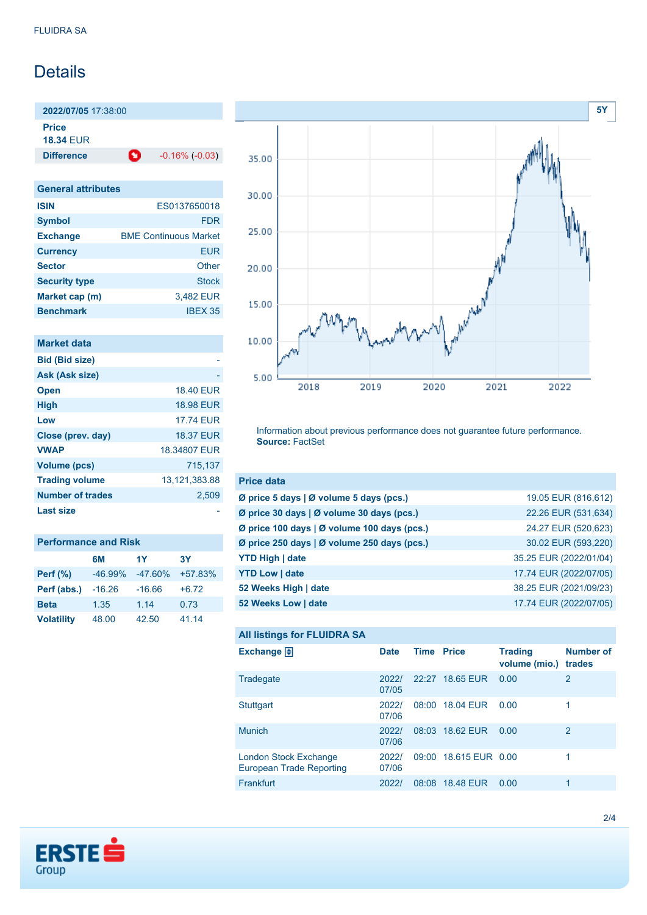# Details

**2022/07/05** 17:38:00 **Price**

**18.34** EUR

**Difference 1** -0.16% (-0.03)

| <b>General attributes</b> |                              |  |
|---------------------------|------------------------------|--|
| <b>ISIN</b>               | ES0137650018                 |  |
| <b>Symbol</b>             | <b>FDR</b>                   |  |
| <b>Exchange</b>           | <b>BMF Continuous Market</b> |  |
| <b>Currency</b>           | EUR                          |  |
| <b>Sector</b>             | Other                        |  |
| <b>Security type</b>      | <b>Stock</b>                 |  |
| Market cap (m)            | 3,482 EUR                    |  |
| <b>Benchmark</b>          | IBFX 35                      |  |

| Market data             |                  |
|-------------------------|------------------|
| <b>Bid (Bid size)</b>   |                  |
| Ask (Ask size)          |                  |
| <b>Open</b>             | <b>18.40 EUR</b> |
| <b>High</b>             | <b>18.98 EUR</b> |
| Low                     | <b>17.74 FUR</b> |
| Close (prev. day)       | <b>18.37 EUR</b> |
| <b>VWAP</b>             | 18.34807 EUR     |
| <b>Volume (pcs)</b>     | 715.137          |
| <b>Trading volume</b>   | 13,121,383.88    |
| <b>Number of trades</b> | 2,509            |
| Last size               |                  |

| <b>Performance and Risk</b> |           |           |           |  |
|-----------------------------|-----------|-----------|-----------|--|
|                             | 6М        | 1Y        | <b>3Y</b> |  |
| Perf (%)                    | $-46.99%$ | $-47.60%$ | $+57.83%$ |  |
| Perf (abs.)                 | $-16.26$  | $-16.66$  | $+6.72$   |  |
| <b>Beta</b>                 | 1.35      | 1.14      | 0.73      |  |
| <b>Volatility</b>           | 48.00     | 42.50     | 41.14     |  |



Information about previous performance does not guarantee future performance. **Source:** FactSet

| <b>Price data</b>                             |                        |
|-----------------------------------------------|------------------------|
| Ø price 5 days $\vert$ Ø volume 5 days (pcs.) | 19.05 EUR (816,612)    |
| Ø price 30 days   Ø volume 30 days (pcs.)     | 22.26 EUR (531,634)    |
| Ø price 100 days   Ø volume 100 days (pcs.)   | 24.27 EUR (520,623)    |
| Ø price 250 days   Ø volume 250 days (pcs.)   | 30.02 EUR (593,220)    |
| <b>YTD High   date</b>                        | 35.25 EUR (2022/01/04) |
| <b>YTD Low   date</b>                         | 17.74 EUR (2022/07/05) |
| 52 Weeks High   date                          | 38.25 EUR (2021/09/23) |
| 52 Weeks Low   date                           | 17.74 EUR (2022/07/05) |

```
All listings for FLUIDRA SA
```

| ⊷                                                 |                |                   |                       |                                 |                            |
|---------------------------------------------------|----------------|-------------------|-----------------------|---------------------------------|----------------------------|
| Exchange $\bigoplus$                              | <b>Date</b>    | <b>Time Price</b> |                       | <b>Trading</b><br>volume (mio.) | <b>Number of</b><br>trades |
| Tradegate                                         | 2022/<br>07/05 |                   | 22:27 18.65 EUR       | 0.00                            | 2                          |
| Stuttgart                                         | 2022/<br>07/06 |                   | 08:00 18.04 EUR       | 0.00                            |                            |
| <b>Munich</b>                                     | 2022/<br>07/06 |                   | 08:03 18.62 EUR       | 0.00                            | 2                          |
| London Stock Exchange<br>European Trade Reporting | 2022/<br>07/06 |                   | 09:00 18.615 EUR 0.00 |                                 | 1                          |
| Frankfurt                                         | 2022/          | 08:08             | <b>18.48 EUR</b>      | 0.00                            | 1                          |

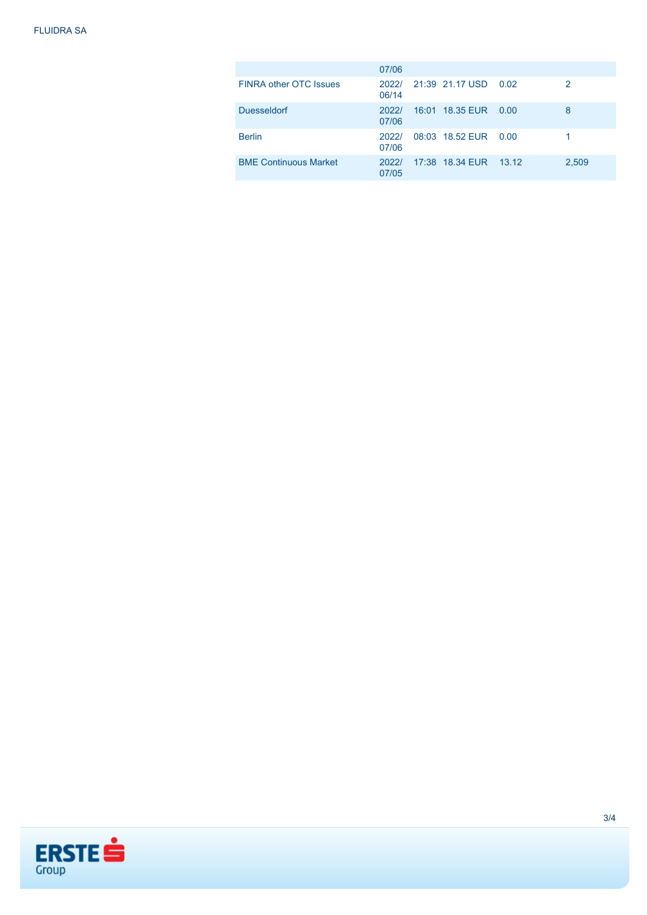|                               | 07/06          |                       |       |
|-------------------------------|----------------|-----------------------|-------|
| <b>FINRA other OTC Issues</b> | 2022/<br>06/14 | 21:39 21.17 USD 0.02  | 2     |
| <b>Duesseldorf</b>            | 2022/<br>07/06 | 16:01 18:35 EUR 0.00  | 8     |
| <b>Berlin</b>                 | 2022/<br>07/06 | 08:03 18.52 EUR 0.00  |       |
| <b>BME Continuous Market</b>  | 2022/<br>07/05 | 17:38 18.34 EUR 13.12 | 2,509 |